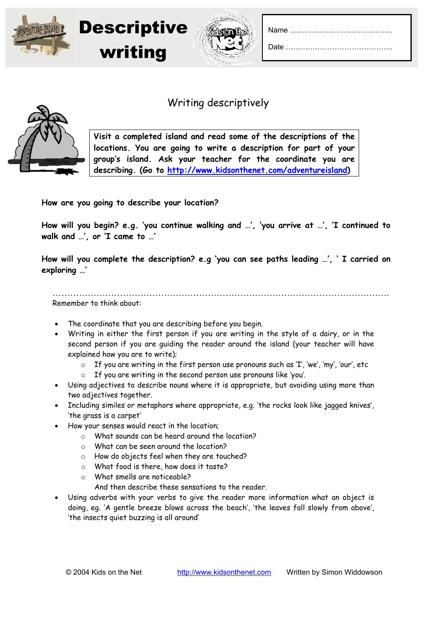



## Writing descriptively



**Visit a completed island and read some of the descriptions of the locations. You are going to write a description for part of your group's island. Ask your teacher for the coordinate you are describing. (Go to http://www.kidsonthenet.com/adventureisland)** 

**How are you going to describe your location?** 

**How will you begin? e.g. 'you continue walking and …', 'you arrive at …', 'I continued to walk and …', or 'I came to …'** 

**How will you complete the description? e.g 'you can see paths leading …', ' I carried on exploring …'** 

Remember to think about:

…………………………………………………………………………………………………….

- The coordinate that you are describing before you begin.
- Writing in either the first person if you are writing in the style of a dairy, or in the second person if you are guiding the reader around the island (your teacher will have explained how you are to write);
	- o If you are writing in the first person use pronouns such as 'I', 'we', 'my', 'our', etc
	- o If you are writing in the second person use pronouns like 'you'.
- Using adjectives to describe nouns where it is appropriate, but avoiding using more than two adjectives together.
- Including similes or metaphors where appropriate, e.g. 'the rocks look like jagged knives'. 'the grass is a carpet'
- How your senses would react in the location;
	- o What sounds can be heard around the location?
	- o What can be seen around the location?
	- o How do objects feel when they are touched?
	- o What food is there, how does it taste?
	- o What smells are noticeable?
		- And then describe these sensations to the reader.
- Using adverbs with your verbs to give the reader more information what an object is doing, eg. 'A gentle breeze blows across the beach', 'the leaves fall slowly from above', 'the insects quiet buzzing is all around'